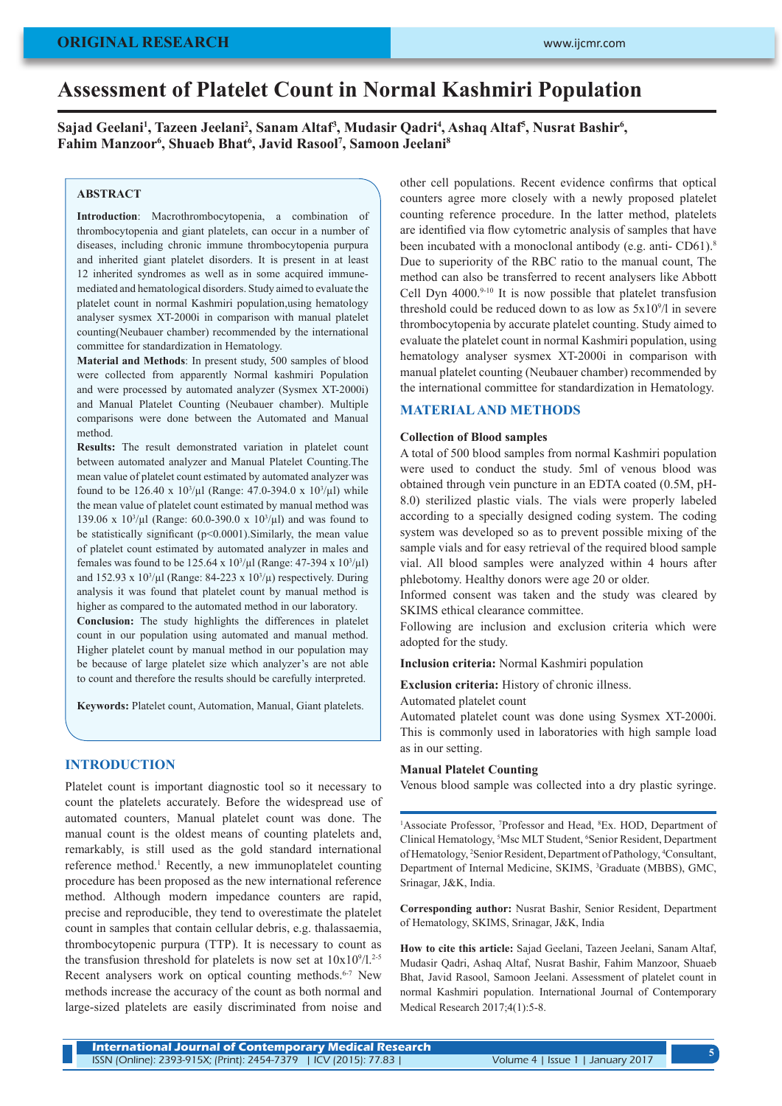## **ORIGINAL RESEARCH**

# **Assessment of Platelet Count in Normal Kashmiri Population**

Sajad Geelani<sup>1</sup>, Tazeen Jeelani<sup>2</sup>, Sanam Altaf<sup>3</sup>, Mudasir Qadri<sup>4</sup>, Ashaq Altaf<sup>5</sup>, Nusrat Bashir<sup>6</sup>, **Fahim Manzoor6 , Shuaeb Bhat6 , Javid Rasool7 , Samoon Jeelani8**

# **ABSTRACT**

**Introduction**: Macrothrombocytopenia, a combination of thrombocytopenia and giant platelets, can occur in a number of diseases, including chronic immune thrombocytopenia purpura and inherited giant platelet disorders. It is present in at least 12 inherited syndromes as well as in some acquired immunemediated and hematological disorders. Study aimed to evaluate the platelet count in normal Kashmiri population,using hematology analyser sysmex XT-2000i in comparison with manual platelet counting(Neubauer chamber) recommended by the international committee for standardization in Hematology.

**Material and Methods**: In present study, 500 samples of blood were collected from apparently Normal kashmiri Population and were processed by automated analyzer (Sysmex XT-2000i) and Manual Platelet Counting (Neubauer chamber). Multiple comparisons were done between the Automated and Manual method.

**Results:** The result demonstrated variation in platelet count between automated analyzer and Manual Platelet Counting.The mean value of platelet count estimated by automated analyzer was found to be 126.40 x  $10^{3}/\mu$ l (Range: 47.0-394.0 x  $10^{3}/\mu$ l) while the mean value of platelet count estimated by manual method was 139.06 x  $10^{3}/\mu$ l (Range: 60.0-390.0 x  $10^{3}/\mu$ l) and was found to be statistically significant (p<0.0001).Similarly, the mean value of platelet count estimated by automated analyzer in males and females was found to be  $125.64 \times 10^3/\mu$ l (Range: 47-394 x 10<sup>3</sup>/ $\mu$ l) and  $152.93 \times 10^3/\mu$ l (Range: 84-223 x  $10^3/\mu$ ) respectively. During analysis it was found that platelet count by manual method is higher as compared to the automated method in our laboratory.

**Conclusion:** The study highlights the differences in platelet count in our population using automated and manual method. Higher platelet count by manual method in our population may be because of large platelet size which analyzer's are not able to count and therefore the results should be carefully interpreted.

**Keywords:** Platelet count, Automation, Manual, Giant platelets.

# **INTRODUCTION**

Platelet count is important diagnostic tool so it necessary to count the platelets accurately. Before the widespread use of automated counters, Manual platelet count was done. The manual count is the oldest means of counting platelets and, remarkably, is still used as the gold standard international reference method.<sup>1</sup> Recently, a new immunoplatelet counting procedure has been proposed as the new international reference method. Although modern impedance counters are rapid, precise and reproducible, they tend to overestimate the platelet count in samples that contain cellular debris, e.g. thalassaemia, thrombocytopenic purpura (TTP). It is necessary to count as the transfusion threshold for platelets is now set at  $10x10^9/1.^{2.5}$ Recent analysers work on optical counting methods.<sup>6-7</sup> New methods increase the accuracy of the count as both normal and large-sized platelets are easily discriminated from noise and

other cell populations. Recent evidence confirms that optical counters agree more closely with a newly proposed platelet counting reference procedure. In the latter method, platelets are identified via flow cytometric analysis of samples that have been incubated with a monoclonal antibody (e.g. anti- CD61).<sup>8</sup> Due to superiority of the RBC ratio to the manual count, The method can also be transferred to recent analysers like Abbott Cell Dyn  $4000.^{9 \cdot 10}$  It is now possible that platelet transfusion threshold could be reduced down to as low as  $5x10<sup>9</sup>/l$  in severe thrombocytopenia by accurate platelet counting. Study aimed to evaluate the platelet count in normal Kashmiri population, using hematology analyser sysmex XT-2000i in comparison with manual platelet counting (Neubauer chamber) recommended by the international committee for standardization in Hematology.

## **MATERIAL AND METHODS**

#### **Collection of Blood samples**

A total of 500 blood samples from normal Kashmiri population were used to conduct the study. 5ml of venous blood was obtained through vein puncture in an EDTA coated (0.5M, pH-8.0) sterilized plastic vials. The vials were properly labeled according to a specially designed coding system. The coding system was developed so as to prevent possible mixing of the sample vials and for easy retrieval of the required blood sample vial. All blood samples were analyzed within 4 hours after phlebotomy. Healthy donors were age 20 or older.

Informed consent was taken and the study was cleared by SKIMS ethical clearance committee.

Following are inclusion and exclusion criteria which were adopted for the study.

**Inclusion criteria:** Normal Kashmiri population

**Exclusion criteria:** History of chronic illness.

Automated platelet count

Automated platelet count was done using Sysmex XT-2000i. This is commonly used in laboratories with high sample load as in our setting.

## **Manual Platelet Counting**

Venous blood sample was collected into a dry plastic syringe.

<sup>1</sup>Associate Professor, <sup>7</sup>Professor and Head, <sup>8</sup>Ex. HOD, Department of Clinical Hematology, 5 Msc MLT Student, 6 Senior Resident, Department of Hematology, <sup>2</sup>Senior Resident, Department of Pathology, <sup>4</sup>Consultant, Department of Internal Medicine, SKIMS, <sup>3</sup>Graduate (MBBS), GMC, Srinagar, J&K, India.

**Corresponding author:** Nusrat Bashir, Senior Resident, Department of Hematology, SKIMS, Srinagar, J&K, India

**How to cite this article:** Sajad Geelani, Tazeen Jeelani, Sanam Altaf, Mudasir Qadri, Ashaq Altaf, Nusrat Bashir, Fahim Manzoor, Shuaeb Bhat, Javid Rasool, Samoon Jeelani. Assessment of platelet count in normal Kashmiri population. International Journal of Contemporary Medical Research 2017;4(1):5-8.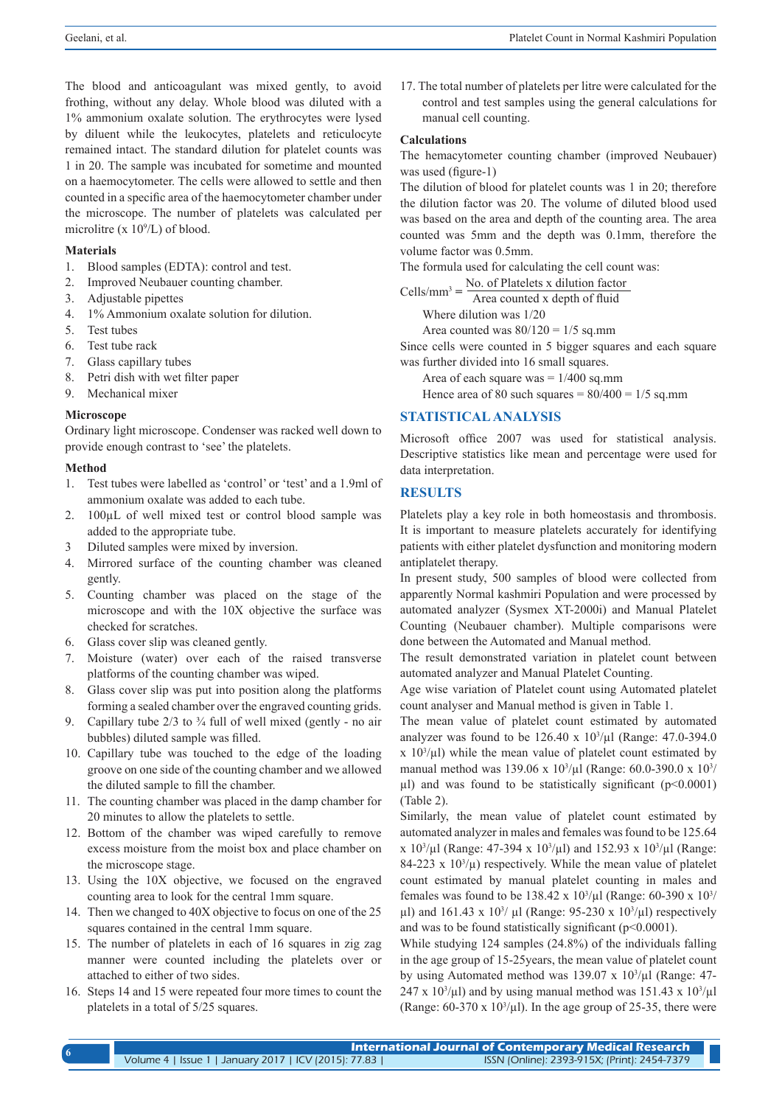The blood and anticoagulant was mixed gently, to avoid frothing, without any delay. Whole blood was diluted with a 1% ammonium oxalate solution. The erythrocytes were lysed by diluent while the leukocytes, platelets and reticulocyte remained intact. The standard dilution for platelet counts was 1 in 20. The sample was incubated for sometime and mounted on a haemocytometer. The cells were allowed to settle and then counted in a specific area of the haemocytometer chamber under the microscope. The number of platelets was calculated per microlitre (x  $10^9$ /L) of blood.

#### **Materials**

- 1. Blood samples (EDTA): control and test.
- 2. Improved Neubauer counting chamber.
- 3. Adjustable pipettes
- 4. 1% Ammonium oxalate solution for dilution.
- 5. Test tubes
- 6. Test tube rack
- 7. Glass capillary tubes
- 8. Petri dish with wet filter paper
- 9. Mechanical mixer

#### **Microscope**

Ordinary light microscope. Condenser was racked well down to provide enough contrast to 'see' the platelets.

## **Method**

- 1. Test tubes were labelled as 'control' or 'test' and a 1.9ml of ammonium oxalate was added to each tube.
- 2. 100µL of well mixed test or control blood sample was added to the appropriate tube.
- 3 Diluted samples were mixed by inversion.
- 4. Mirrored surface of the counting chamber was cleaned gently.
- 5. Counting chamber was placed on the stage of the microscope and with the 10X objective the surface was checked for scratches.
- 6. Glass cover slip was cleaned gently.
- 7. Moisture (water) over each of the raised transverse platforms of the counting chamber was wiped.
- 8. Glass cover slip was put into position along the platforms forming a sealed chamber over the engraved counting grids.
- 9. Capillary tube  $2/3$  to  $\frac{3}{4}$  full of well mixed (gently no air bubbles) diluted sample was filled.
- 10. Capillary tube was touched to the edge of the loading groove on one side of the counting chamber and we allowed the diluted sample to fill the chamber.
- 11. The counting chamber was placed in the damp chamber for 20 minutes to allow the platelets to settle.
- 12. Bottom of the chamber was wiped carefully to remove excess moisture from the moist box and place chamber on the microscope stage.
- 13. Using the 10X objective, we focused on the engraved counting area to look for the central 1mm square.
- 14. Then we changed to 40X objective to focus on one of the 25 squares contained in the central 1mm square.
- 15. The number of platelets in each of 16 squares in zig zag manner were counted including the platelets over or attached to either of two sides.
- 16. Steps 14 and 15 were repeated four more times to count the platelets in a total of 5/25 squares.

17. The total number of platelets per litre were calculated for the control and test samples using the general calculations for manual cell counting.

# **Calculations**

The hemacytometer counting chamber (improved Neubauer) was used (figure-1)

The dilution of blood for platelet counts was 1 in 20; therefore the dilution factor was 20. The volume of diluted blood used was based on the area and depth of the counting area. The area counted was 5mm and the depth was 0.1mm, therefore the volume factor was 0.5mm.

The formula used for calculating the cell count was:

 $Cells/mm^3 = \frac{No. of Platelets x dilution factor}{Area counted x depth of fluid}$ 

Where dilution was 1/20

Area counted was  $80/120 = 1/5$  sq.mm

Since cells were counted in 5 bigger squares and each square was further divided into 16 small squares.

Area of each square was  $= 1/400$  sq.mm

Hence area of 80 such squares  $= 80/400 = 1/5$  sq.mm

## **STATISTICAL ANALYSIS**

Microsoft office 2007 was used for statistical analysis. Descriptive statistics like mean and percentage were used for data interpretation.

## **RESULTS**

Platelets play a key role in both homeostasis and thrombosis. It is important to measure platelets accurately for identifying patients with either platelet dysfunction and monitoring modern antiplatelet therapy.

In present study, 500 samples of blood were collected from apparently Normal kashmiri Population and were processed by automated analyzer (Sysmex XT-2000i) and Manual Platelet Counting (Neubauer chamber). Multiple comparisons were done between the Automated and Manual method.

The result demonstrated variation in platelet count between automated analyzer and Manual Platelet Counting.

Age wise variation of Platelet count using Automated platelet count analyser and Manual method is given in Table 1.

The mean value of platelet count estimated by automated analyzer was found to be  $126.40 \times 10^{3}/\mu$ l (Range: 47.0-394.0)  $x$  10<sup>3</sup>/ $\mu$ l) while the mean value of platelet count estimated by manual method was 139.06 x  $10^{3}/\mu$ l (Range: 60.0-390.0 x  $10^{3}/\mu$ ul) and was found to be statistically significant  $(p<0.0001)$ (Table 2).

Similarly, the mean value of platelet count estimated by automated analyzer in males and females was found to be 125.64  $\frac{\text{x}}{10^3/\mu}$  (Range: 47-394 x 10<sup>3</sup>/ $\mu$ l) and 152.93 x 10<sup>3</sup>/ $\mu$ l (Range:  $84-223 \times 10^{3}/\mu$ ) respectively. While the mean value of platelet count estimated by manual platelet counting in males and females was found to be 138.42 x  $10^3/\mu$ l (Range: 60-390 x  $10^3/\mu$  $\mu$ l) and 161.43 x 10<sup>3</sup>/ $\mu$ l (Range: 95-230 x 10<sup>3</sup>/ $\mu$ l) respectively and was to be found statistically significant ( $p<0.0001$ ).

While studying 124 samples (24.8%) of the individuals falling in the age group of 15-25years, the mean value of platelet count by using Automated method was  $139.07 \times 10^{3}/\mu$ l (Range: 47- $247 \times 10^3/\mu$ l) and by using manual method was 151.43 x 10<sup>3</sup>/ $\mu$ l (Range:  $60-370 \times 10^3/\mu$ ). In the age group of 25-35, there were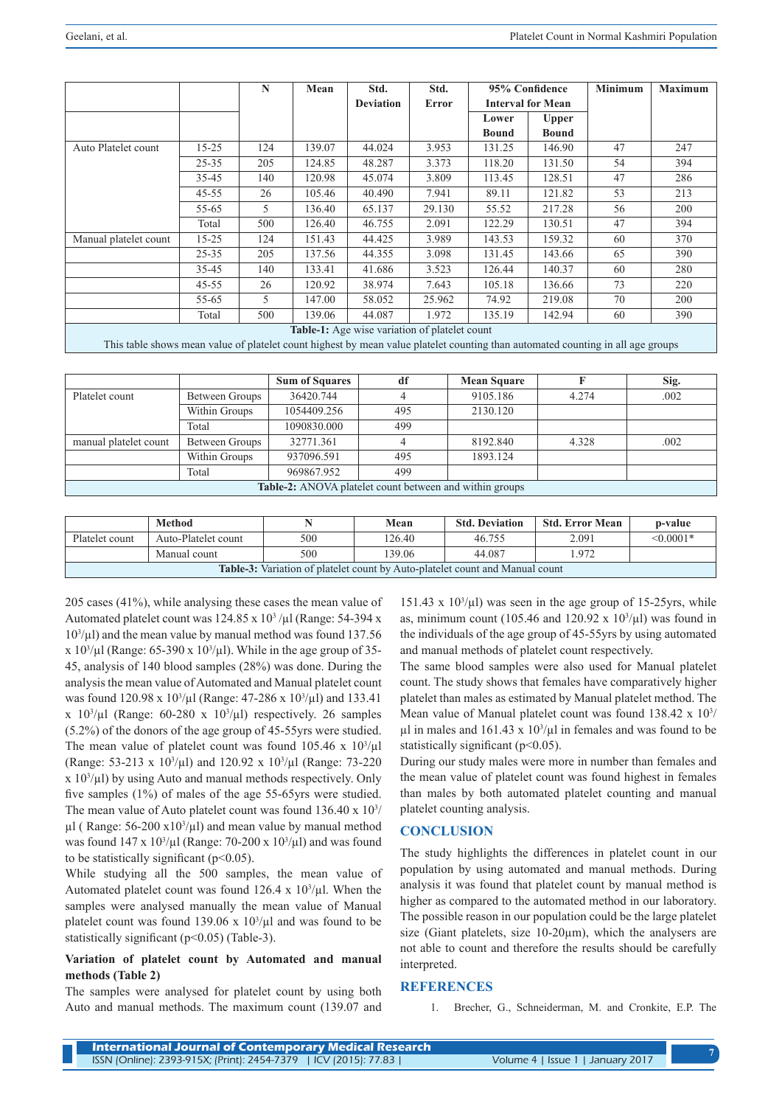|                                                                                                                                  |           | N   | Mean   | Std.             | Std.   | 95% Confidence           |              | <b>Minimum</b> | <b>Maximum</b> |
|----------------------------------------------------------------------------------------------------------------------------------|-----------|-----|--------|------------------|--------|--------------------------|--------------|----------------|----------------|
|                                                                                                                                  |           |     |        | <b>Deviation</b> | Error  | <b>Interval for Mean</b> |              |                |                |
|                                                                                                                                  |           |     |        |                  |        | Lower                    | <b>Upper</b> |                |                |
|                                                                                                                                  |           |     |        |                  |        | <b>Bound</b>             | <b>Bound</b> |                |                |
| Auto Platelet count                                                                                                              | $15 - 25$ | 124 | 139.07 | 44.024           | 3.953  | 131.25                   | 146.90       | 47             | 247            |
|                                                                                                                                  | $25 - 35$ | 205 | 124.85 | 48.287           | 3.373  | 118.20                   | 131.50       | 54             | 394            |
|                                                                                                                                  | 35-45     | 140 | 120.98 | 45.074           | 3.809  | 113.45                   | 128.51       | 47             | 286            |
|                                                                                                                                  | $45 - 55$ | 26  | 105.46 | 40.490           | 7.941  | 89.11                    | 121.82       | 53             | 213            |
|                                                                                                                                  | $55 - 65$ | 5   | 136.40 | 65.137           | 29.130 | 55.52                    | 217.28       | 56             | 200            |
|                                                                                                                                  | Total     | 500 | 126.40 | 46.755           | 2.091  | 122.29                   | 130.51       | 47             | 394            |
| Manual platelet count                                                                                                            | $15 - 25$ | 124 | 151.43 | 44.425           | 3.989  | 143.53                   | 159.32       | 60             | 370            |
|                                                                                                                                  | $25 - 35$ | 205 | 137.56 | 44.355           | 3.098  | 131.45                   | 143.66       | 65             | 390            |
|                                                                                                                                  | $35 - 45$ | 140 | 133.41 | 41.686           | 3.523  | 126.44                   | 140.37       | 60             | 280            |
|                                                                                                                                  | $45 - 55$ | 26  | 120.92 | 38.974           | 7.643  | 105.18                   | 136.66       | 73             | 220            |
|                                                                                                                                  | $55 - 65$ | 5   | 147.00 | 58.052           | 25.962 | 74.92                    | 219.08       | 70             | 200            |
|                                                                                                                                  | Total     | 500 | 139.06 | 44.087           | 1.972  | 135.19                   | 142.94       | 60             | 390            |
| <b>Table-1:</b> Age wise variation of platelet count                                                                             |           |     |        |                  |        |                          |              |                |                |
| This table shows mean value of plotalet count highest by mean value plotalet counting then outcometed counting in all age groung |           |     |        |                  |        |                          |              |                |                |

This table shows mean value of platelet count highest by mean value platelet counting than automated counting in all age groups

|                                                                |                | <b>Sum of Squares</b> | df  | <b>Mean Square</b> |       | Sig. |  |
|----------------------------------------------------------------|----------------|-----------------------|-----|--------------------|-------|------|--|
| Platelet count                                                 | Between Groups | 36420.744             |     | 9105.186           | 4.274 | .002 |  |
|                                                                | Within Groups  | 1054409.256           | 495 | 2130.120           |       |      |  |
|                                                                | Total          | 1090830.000           | 499 |                    |       |      |  |
| manual platelet count                                          | Between Groups | 32771.361             |     | 8192.840           | 4.328 | .002 |  |
|                                                                | Within Groups  | 937096.591            | 495 | 1893.124           |       |      |  |
|                                                                | Total          | 969867.952            | 499 |                    |       |      |  |
| <b>Table-2:</b> ANOVA platelet count between and within groups |                |                       |     |                    |       |      |  |

|                                                                                     | Method              |     | Mean   | <b>Std. Deviation</b> | <b>Std. Error Mean</b> | p-value     |  |  |
|-------------------------------------------------------------------------------------|---------------------|-----|--------|-----------------------|------------------------|-------------|--|--|
| Platelet count                                                                      | Auto-Platelet count | 500 | 126.40 | 46.755                | 2.091                  | $< 0.0001*$ |  |  |
|                                                                                     | Manual count        | 500 | 139.06 | 44.087                | .972                   |             |  |  |
| <b>Table-3:</b> Variation of platelet count by Auto-platelet count and Manual count |                     |     |        |                       |                        |             |  |  |

205 cases (41%), while analysing these cases the mean value of Automated platelet count was  $124.85 \times 10^3$  /µl (Range: 54-394 x 103 /µl) and the mean value by manual method was found 137.56 x  $10^{3}/\mu$ l (Range: 65-390 x  $10^{3}/\mu$ l). While in the age group of 35-45, analysis of 140 blood samples (28%) was done. During the analysis the mean value of Automated and Manual platelet count was found  $120.98 \times 10^3/\mu$ l (Range: 47-286 x  $10^3/\mu$ l) and 133.41  $x$  10<sup>3</sup>/ $\mu$ l (Range: 60-280 x 10<sup>3</sup>/ $\mu$ l) respectively. 26 samples (5.2%) of the donors of the age group of 45-55yrs were studied. The mean value of platelet count was found  $105.46 \times 10^{3}/\mu$ l (Range: 53-213 x  $10^3/\mu$ l) and 120.92 x  $10^3/\mu$ l (Range: 73-220 x 103 /µl) by using Auto and manual methods respectively. Only five samples (1%) of males of the age 55-65yrs were studied. The mean value of Auto platelet count was found  $136.40 \times 10^{3/2}$  $\mu$ l (Range: 56-200 x10<sup>3</sup>/ $\mu$ l) and mean value by manual method was found  $147 \times 10^3/\mu$ l (Range: 70-200 x  $10^3/\mu$ l) and was found to be statistically significant  $(p<0.05)$ .

While studying all the 500 samples, the mean value of Automated platelet count was found  $126.4 \times 10^{3}/\mu$ l. When the samples were analysed manually the mean value of Manual platelet count was found  $139.06 \times 10^3/\mu$  and was found to be statistically significant ( $p<0.05$ ) (Table-3).

# **Variation of platelet count by Automated and manual methods (Table 2)**

The samples were analysed for platelet count by using both Auto and manual methods. The maximum count (139.07 and

151.43 x  $10<sup>3</sup>/\mu$ l) was seen in the age group of 15-25yrs, while as, minimum count (105.46 and 120.92 x  $10^{3}/\mu$ I) was found in the individuals of the age group of 45-55yrs by using automated and manual methods of platelet count respectively.

The same blood samples were also used for Manual platelet count. The study shows that females have comparatively higher platelet than males as estimated by Manual platelet method. The Mean value of Manual platelet count was found  $138.42 \times 10^{3}$  $\mu$ l in males and 161.43 x 10<sup>3</sup>/ $\mu$ l in females and was found to be statistically significant ( $p$ <0.05).

During our study males were more in number than females and the mean value of platelet count was found highest in females than males by both automated platelet counting and manual platelet counting analysis.

# **CONCLUSION**

The study highlights the differences in platelet count in our population by using automated and manual methods. During analysis it was found that platelet count by manual method is higher as compared to the automated method in our laboratory. The possible reason in our population could be the large platelet size (Giant platelets, size 10-20<sub>um</sub>), which the analysers are not able to count and therefore the results should be carefully interpreted.

## **REFERENCES**

1. Brecher, G., Schneiderman, M. and Cronkite, E.P. The